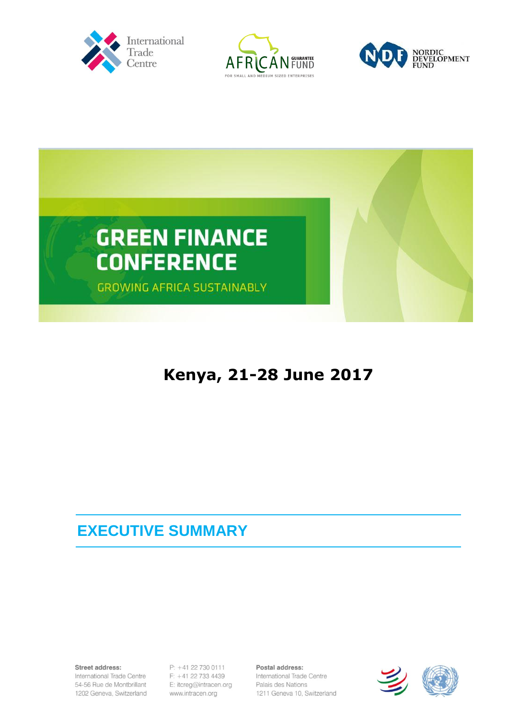







## **Kenya, 21-28 June 2017**

## **EXECUTIVE SUMMARY**

Street address:

International Trade Centre 54-56 Rue de Montbrillant 1202 Geneva, Switzerland P: +41 22 730 0111  $F: +41 22 733 4439$ E: itcreg@intracen.org www.intracen.org

Postal address: International Trade Centre Palais des Nations 1211 Geneva 10, Switzerland